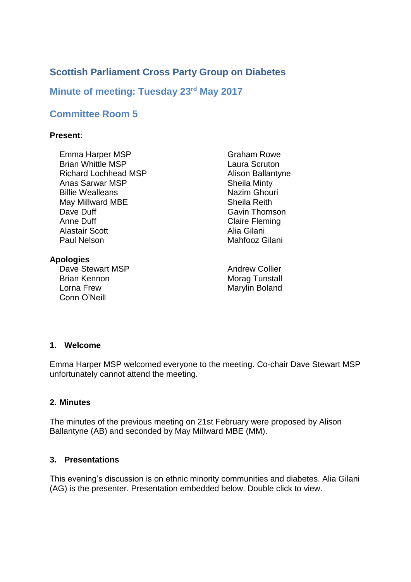# **Scottish Parliament Cross Party Group on Diabetes**

## **Minute of meeting: Tuesday 23rd May 2017**

# **Committee Room 5**

### **Present**:

Emma Harper MSP Brian Whittle MSP Richard Lochhead MSP Anas Sarwar MSP Billie Wealleans May Millward MBE Dave Duff Anne Duff Alastair Scott Paul Nelson

### **Apologies**

Dave Stewart MSP Brian Kennon Lorna Frew Conn O'Neill

Graham Rowe Laura Scruton Alison Ballantyne Sheila Minty Nazim Ghouri Sheila Reith Gavin Thomson Claire Fleming Alia Gilani Mahfooz Gilani

Andrew Collier Morag Tunstall Marylin Boland

#### **1. Welcome**

Emma Harper MSP welcomed everyone to the meeting. Co-chair Dave Stewart MSP unfortunately cannot attend the meeting.

#### **2. Minutes**

The minutes of the previous meeting on 21st February were proposed by Alison Ballantyne (AB) and seconded by May Millward MBE (MM).

### **3. Presentations**

This evening's discussion is on ethnic minority communities and diabetes. Alia Gilani (AG) is the presenter. Presentation embedded below. Double click to view.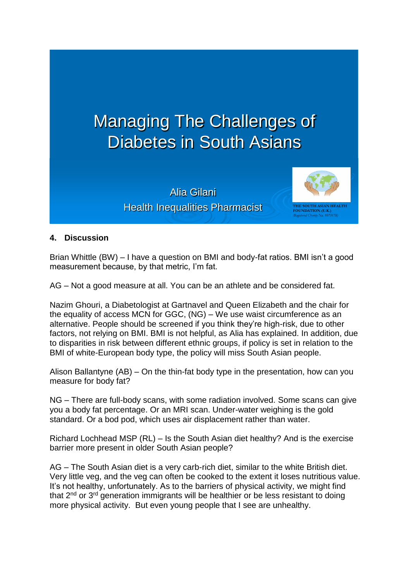

Alia Gilani **Health Inequalities Pharmacist** 



### **4. Discussion**

Brian Whittle (BW) – I have a question on BMI and body-fat ratios. BMI isn't a good measurement because, by that metric, I'm fat.

AG – Not a good measure at all. You can be an athlete and be considered fat.

Nazim Ghouri, a Diabetologist at Gartnavel and Queen Elizabeth and the chair for the equality of access MCN for GGC, (NG) – We use waist circumference as an alternative. People should be screened if you think they're high-risk, due to other factors, not relying on BMI. BMI is not helpful, as Alia has explained. In addition, due to disparities in risk between different ethnic groups, if policy is set in relation to the BMI of white-European body type, the policy will miss South Asian people.

Alison Ballantyne (AB) – On the thin-fat body type in the presentation, how can you measure for body fat?

NG – There are full-body scans, with some radiation involved. Some scans can give you a body fat percentage. Or an MRI scan. Under-water weighing is the gold standard. Or a bod pod, which uses air displacement rather than water.

Richard Lochhead MSP (RL) – Is the South Asian diet healthy? And is the exercise barrier more present in older South Asian people?

AG – The South Asian diet is a very carb-rich diet, similar to the white British diet. Very little veg, and the veg can often be cooked to the extent it loses nutritious value. It's not healthy, unfortunately. As to the barriers of physical activity, we might find that  $2<sup>nd</sup>$  or  $3<sup>rd</sup>$  generation immigrants will be healthier or be less resistant to doing more physical activity. But even young people that I see are unhealthy.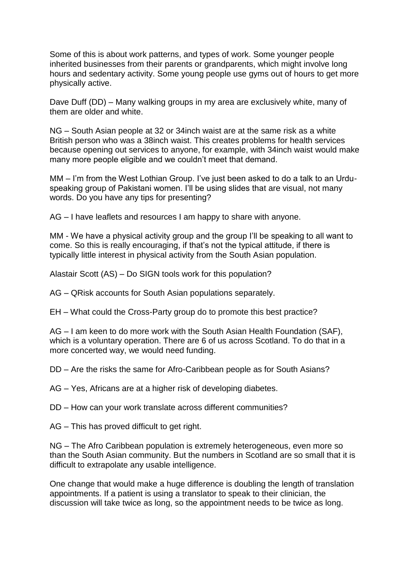Some of this is about work patterns, and types of work. Some younger people inherited businesses from their parents or grandparents, which might involve long hours and sedentary activity. Some young people use gyms out of hours to get more physically active.

Dave Duff (DD) – Many walking groups in my area are exclusively white, many of them are older and white.

NG – South Asian people at 32 or 34inch waist are at the same risk as a white British person who was a 38inch waist. This creates problems for health services because opening out services to anyone, for example, with 34inch waist would make many more people eligible and we couldn't meet that demand.

MM – I'm from the West Lothian Group. I've just been asked to do a talk to an Urduspeaking group of Pakistani women. I'll be using slides that are visual, not many words. Do you have any tips for presenting?

AG – I have leaflets and resources I am happy to share with anyone.

MM - We have a physical activity group and the group I'll be speaking to all want to come. So this is really encouraging, if that's not the typical attitude, if there is typically little interest in physical activity from the South Asian population.

Alastair Scott (AS) – Do SIGN tools work for this population?

- AG QRisk accounts for South Asian populations separately.
- EH What could the Cross-Party group do to promote this best practice?

AG – I am keen to do more work with the South Asian Health Foundation (SAF), which is a voluntary operation. There are 6 of us across Scotland. To do that in a more concerted way, we would need funding.

DD – Are the risks the same for Afro-Caribbean people as for South Asians?

AG – Yes, Africans are at a higher risk of developing diabetes.

DD – How can your work translate across different communities?

AG – This has proved difficult to get right.

NG – The Afro Caribbean population is extremely heterogeneous, even more so than the South Asian community. But the numbers in Scotland are so small that it is difficult to extrapolate any usable intelligence.

One change that would make a huge difference is doubling the length of translation appointments. If a patient is using a translator to speak to their clinician, the discussion will take twice as long, so the appointment needs to be twice as long.